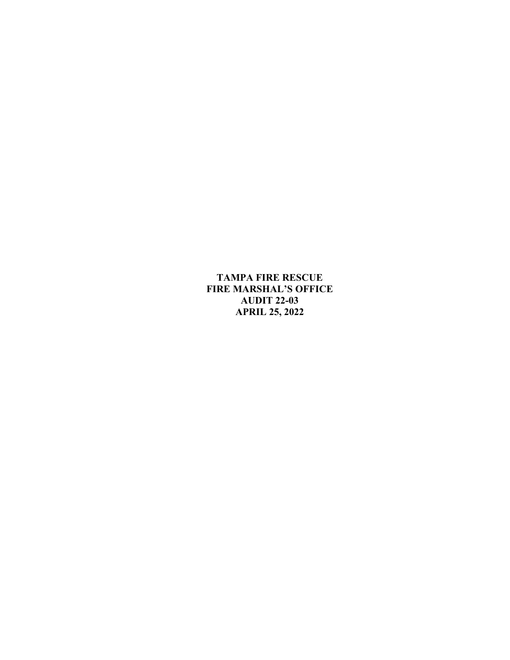**APRIL 25, 2022 TAMPA FIRE RESCUE FIRE MARSHAL'S OFFICE AUDIT 22-03**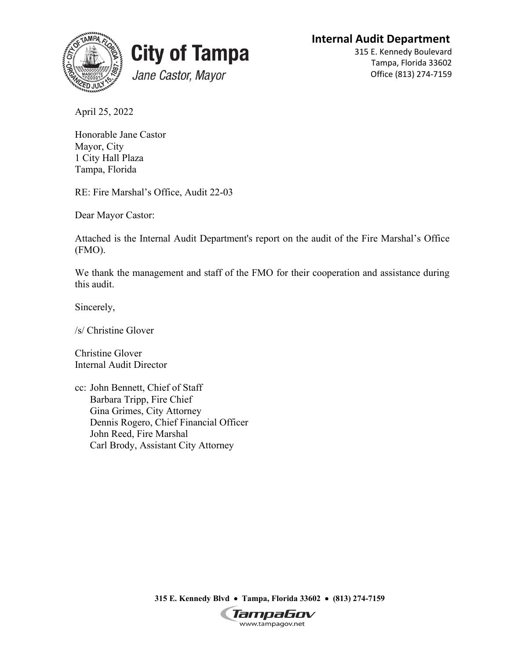**Internal Audit Department** 





315 E. Kennedy Boulevard Tampa, Florida 33602 Office (813) 274-7159

April 25, 2022

Tampa, Florida Honorable Jane Castor Mayor, City 1 City Hall Plaza

Tampa, Florida<br>RE: Fire Marshal's Office, Audit 22-03

Dear Mayor Castor:

 Attached is the Internal Audit Department's report on the audit of the Fire Marshal's Office (FMO).

We thank the management and staff of the FMO for their cooperation and assistance during this audit.

Sincerely,

/s/ Christine Glover

Christine Glover Internal Audit Director

cc: John Bennett, Chief of Staff Barbara Tripp, Fire Chief Gina Grimes, City Attorney Dennis Rogero, Chief Financial Officer John Reed, Fire Marshal Carl Brody, Assistant City Attorney

 **315 E. Kennedy Blvd** • **Tampa, Florida 33602** • **(813) 274-7159** 

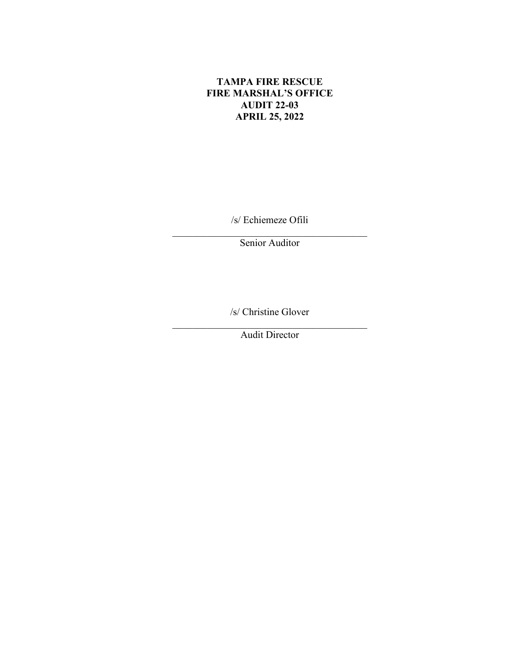## **TAMPA FIRE RESCUE FIRE MARSHAL'S OFFICE AUDIT 22-03 APRIL 25, 2022**

/s/ Echiemeze Ofili

Senior Auditor

/s/ Christine Glover

\_\_\_\_\_\_\_\_\_\_\_\_\_\_\_\_\_\_\_\_\_\_\_\_\_\_\_\_\_\_\_\_\_\_\_\_\_\_\_ Audit Director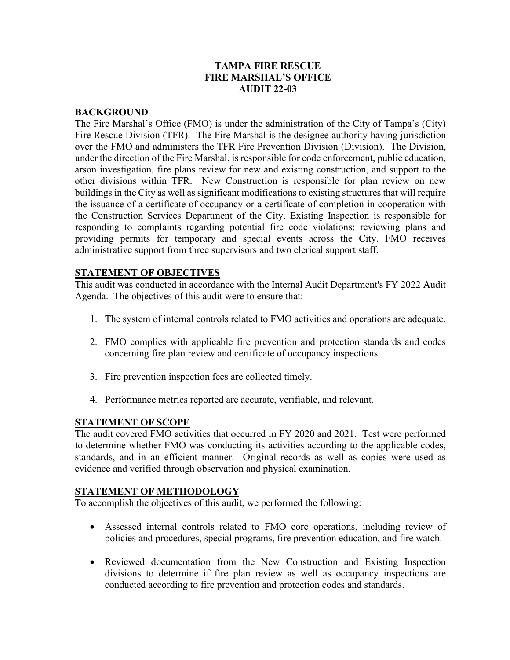### **TAMPA FIRE RESCUE FIRE MARSHAL'S OFFICE AUDIT 22-03**

#### **BACKGROUND**

 The Fire Marshal's Office (FMO) is under the administration of the City of Tampa's (City) over the FMO and administers the TFR Fire Prevention Division (Division). The Division, responding to complaints regarding potential fire code violations; reviewing plans and providing permits for temporary and special events across the City. FMO receives Fire Rescue Division (TFR). The Fire Marshal is the designee authority having jurisdiction under the direction of the Fire Marshal, is responsible for code enforcement, public education, arson investigation, fire plans review for new and existing construction, and support to the other divisions within TFR. New Construction is responsible for plan review on new buildings in the City as well as significant modifications to existing structures that will require the issuance of a certificate of occupancy or a certificate of completion in cooperation with the Construction Services Department of the City. Existing Inspection is responsible for administrative support from three supervisors and two clerical support staff.

#### **STATEMENT OF OBJECTIVES**

 This audit was conducted in accordance with the Internal Audit Department's FY 2022 Audit Agenda. The objectives of this audit were to ensure that:

- 1. The system of internal controls related to FMO activities and operations are adequate.
- 2. FMO complies with applicable fire prevention and protection standards and codes concerning fire plan review and certificate of occupancy inspections.
- 3. Fire prevention inspection fees are collected timely.
- 4. Performance metrics reported are accurate, verifiable, and relevant.

### **STATEMENT OF SCOPE**

 to determine whether FMO was conducting its activities according to the applicable codes, standards, and in an efficient manner. Original records as well as copies were used as The audit covered FMO activities that occurred in FY 2020 and 2021. Test were performed evidence and verified through observation and physical examination.

### **STATEMENT OF METHODOLOGY**

To accomplish the objectives of this audit, we performed the following:

- Assessed internal controls related to FMO core operations, including review of policies and procedures, special programs, fire prevention education, and fire watch.
- Reviewed documentation from the New Construction and Existing Inspection divisions to determine if fire plan review as well as occupancy inspections are conducted according to fire prevention and protection codes and standards.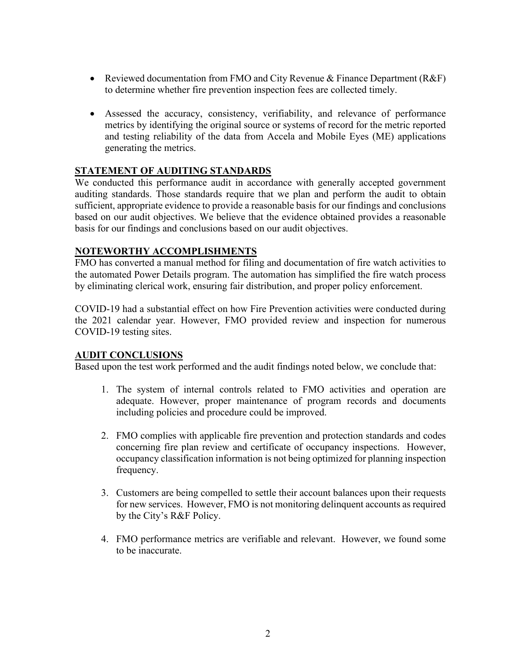- Reviewed documentation from FMO and City Revenue & Finance Department (R&F) to determine whether fire prevention inspection fees are collected timely.
- and testing reliability of the data from Accela and Mobile Eyes (ME) applications generating the metrics. • Assessed the accuracy, consistency, verifiability, and relevance of performance metrics by identifying the original source or systems of record for the metric reported

## **STATEMENT OF AUDITING STANDARDS**

 auditing standards. Those standards require that we plan and perform the audit to obtain We conducted this performance audit in accordance with generally accepted government sufficient, appropriate evidence to provide a reasonable basis for our findings and conclusions based on our audit objectives. We believe that the evidence obtained provides a reasonable basis for our findings and conclusions based on our audit objectives.

### **NOTEWORTHY ACCOMPLISHMENTS**

 FMO has converted a manual method for filing and documentation of fire watch activities to the automated Power Details program. The automation has simplified the fire watch process by eliminating clerical work, ensuring fair distribution, and proper policy enforcement.

COVID-19 had a substantial effect on how Fire Prevention activities were conducted during the 2021 calendar year. However, FMO provided review and inspection for numerous COVID-19 testing sites.

### **AUDIT CONCLUSIONS**

Based upon the test work performed and the audit findings noted below, we conclude that:

- 1. The system of internal controls related to FMO activities and operation are adequate. However, proper maintenance of program records and documents including policies and procedure could be improved.
- 2. FMO complies with applicable fire prevention and protection standards and codes concerning fire plan review and certificate of occupancy inspections. However, occupancy classification information is not being optimized for planning inspection frequency.
- 3. Customers are being compelled to settle their account balances upon their requests for new services. However, FMO is not monitoring delinquent accounts as required by the City's R&F Policy.
- 4. FMO performance metrics are verifiable and relevant. However, we found some to be inaccurate.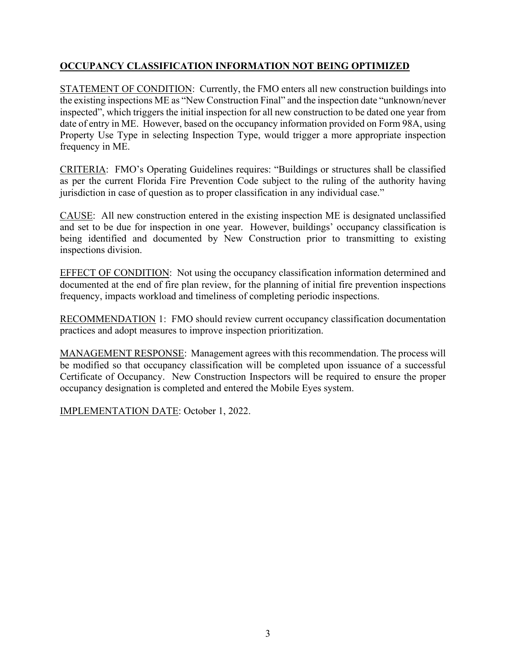## **OCCUPANCY CLASSIFICATION INFORMATION NOT BEING OPTIMIZED**

 the existing inspections ME as "New Construction Final" and the inspection date "unknown/never inspected", which triggers the initial inspection for all new construction to be dated one year from date of entry in ME. However, based on the occupancy information provided on Form 98A, using STATEMENT OF CONDITION: Currently, the FMO enters all new construction buildings into Property Use Type in selecting Inspection Type, would trigger a more appropriate inspection frequency in ME.

 CRITERIA: FMO's Operating Guidelines requires: "Buildings or structures shall be classified as per the current Florida Fire Prevention Code subject to the ruling of the authority having jurisdiction in case of question as to proper classification in any individual case."

 being identified and documented by New Construction prior to transmitting to existing CAUSE: All new construction entered in the existing inspection ME is designated unclassified and set to be due for inspection in one year. However, buildings' occupancy classification is inspections division.

EFFECT OF CONDITION: Not using the occupancy classification information determined and documented at the end of fire plan review, for the planning of initial fire prevention inspections frequency, impacts workload and timeliness of completing periodic inspections.

RECOMMENDATION 1: FMO should review current occupancy classification documentation practices and adopt measures to improve inspection prioritization.

MANAGEMENT RESPONSE: Management agrees with this recommendation. The process will be modified so that occupancy classification will be completed upon issuance of a successful Certificate of Occupancy. New Construction Inspectors will be required to ensure the proper occupancy designation is completed and entered the Mobile Eyes system.

IMPLEMENTATION DATE: October 1, 2022.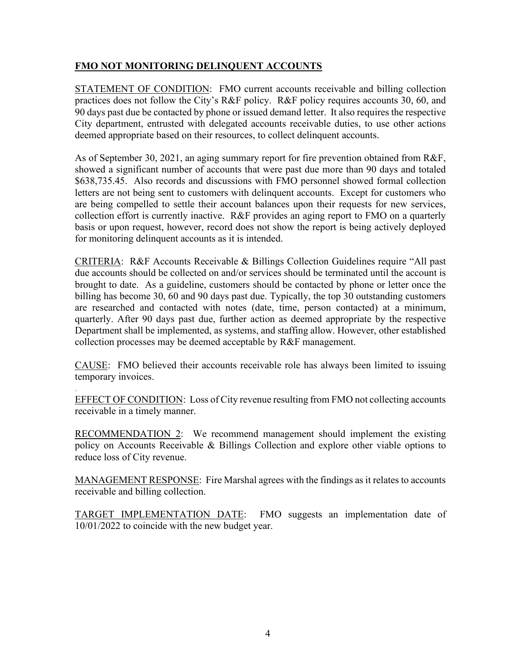## **FMO NOT MONITORING DELINQUENT ACCOUNTS**

STATEMENT OF CONDITION: FMO current accounts receivable and billing collection practices does not follow the City's R&F policy. R&F policy requires accounts 30, 60, and 90 days past due be contacted by phone or issued demand letter. It also requires the respective City department, entrusted with delegated accounts receivable duties, to use other actions deemed appropriate based on their resources, to collect delinquent accounts.

As of September 30, 2021, an aging summary report for fire prevention obtained from R&F, showed a significant number of accounts that were past due more than 90 days and totaled \$[638,735.45](https://638,735.45). Also records and discussions with FMO personnel showed formal collection letters are not being sent to customers with delinquent accounts. Except for customers who are being compelled to settle their account balances upon their requests for new services, collection effort is currently inactive. R&F provides an aging report to FMO on a quarterly basis or upon request, however, record does not show the report is being actively deployed for monitoring delinquent accounts as it is intended.

 CRITERIA: R&F Accounts Receivable & Billings Collection Guidelines require "All past are researched and contacted with notes (date, time, person contacted) at a minimum, due accounts should be collected on and/or services should be terminated until the account is brought to date. As a guideline, customers should be contacted by phone or letter once the billing has become 30, 60 and 90 days past due. Typically, the top 30 outstanding customers quarterly. After 90 days past due, further action as deemed appropriate by the respective Department shall be implemented, as systems, and staffing allow. However, other established collection processes may be deemed acceptable by R&F management.

CAUSE: FMO believed their accounts receivable role has always been limited to issuing temporary invoices.

EFFECT OF CONDITION: Loss of City revenue resulting from FMO not collecting accounts . receivable in a timely manner.

RECOMMENDATION 2: We recommend management should implement the existing policy on Accounts Receivable & Billings Collection and explore other viable options to reduce loss of City revenue.

MANAGEMENT RESPONSE: Fire Marshal agrees with the findings as it relates to accounts receivable and billing collection.

TARGET IMPLEMENTATION DATE: FMO suggests an implementation date of 10/01/2022 to coincide with the new budget year.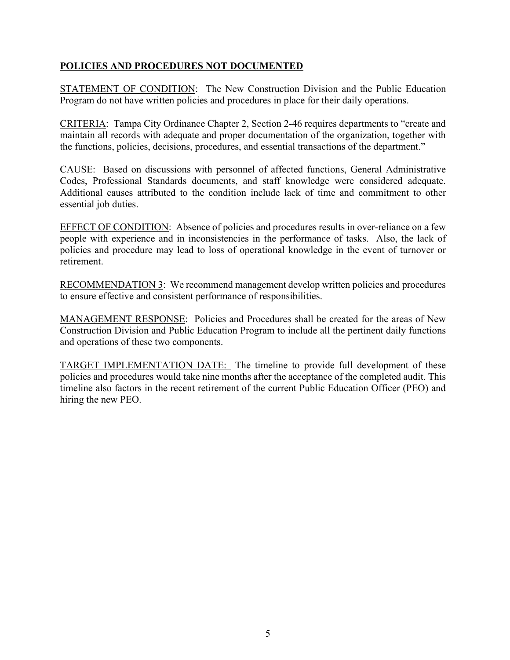### **POLICIES AND PROCEDURES NOT DOCUMENTED**

STATEMENT OF CONDITION: The New Construction Division and the Public Education Program do not have written policies and procedures in place for their daily operations.

 maintain all records with adequate and proper documentation of the organization, together with CRITERIA: Tampa City Ordinance Chapter 2, Section 2-46 requires departments to "create and the functions, policies, decisions, procedures, and essential transactions of the department."

CAUSE: Based on discussions with personnel of affected functions, General Administrative Codes, Professional Standards documents, and staff knowledge were considered adequate. Additional causes attributed to the condition include lack of time and commitment to other essential job duties.

EFFECT OF CONDITION: Absence of policies and procedures results in over-reliance on a few people with experience and in inconsistencies in the performance of tasks. Also, the lack of policies and procedure may lead to loss of operational knowledge in the event of turnover or retirement.

RECOMMENDATION 3: We recommend management develop written policies and procedures to ensure effective and consistent performance of responsibilities.

MANAGEMENT RESPONSE: Policies and Procedures shall be created for the areas of New Construction Division and Public Education Program to include all the pertinent daily functions and operations of these two components.

 timeline also factors in the recent retirement of the current Public Education Officer (PEO) and hiring the new PEO. TARGET IMPLEMENTATION DATE: The timeline to provide full development of these policies and procedures would take nine months after the acceptance of the completed audit. This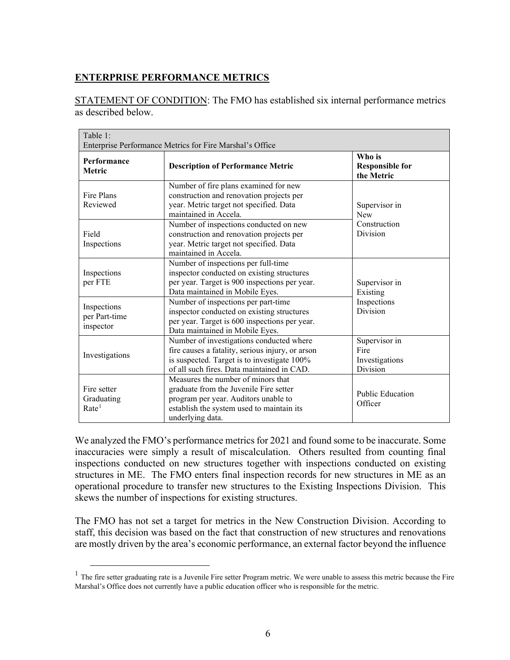# **ENTERPRISE PERFORMANCE METRICS**

STATEMENT OF CONDITION: The FMO has established six internal performance metrics as described below.

| Table 1:<br>Enterprise Performance Metrics for Fire Marshal's Office |                                                                                                                                                                                           |                                                         |
|----------------------------------------------------------------------|-------------------------------------------------------------------------------------------------------------------------------------------------------------------------------------------|---------------------------------------------------------|
| Performance<br><b>Metric</b>                                         | <b>Description of Performance Metric</b>                                                                                                                                                  | Who is<br><b>Responsible for</b><br>the Metric          |
| Fire Plans<br>Reviewed                                               | Number of fire plans examined for new<br>construction and renovation projects per<br>year. Metric target not specified. Data<br>maintained in Accela.                                     | Supervisor in<br><b>New</b><br>Construction<br>Division |
| Field<br>Inspections                                                 | Number of inspections conducted on new<br>construction and renovation projects per<br>year. Metric target not specified. Data<br>maintained in Accela.                                    |                                                         |
| Inspections<br>per FTE                                               | Number of inspections per full-time<br>inspector conducted on existing structures<br>per year. Target is 900 inspections per year.<br>Data maintained in Mobile Eyes.                     | Supervisor in<br>Existing                               |
| Inspections<br>per Part-time<br>inspector                            | Number of inspections per part-time<br>inspector conducted on existing structures<br>per year. Target is 600 inspections per year.<br>Data maintained in Mobile Eyes.                     | Inspections<br>Division                                 |
| Investigations                                                       | Number of investigations conducted where<br>fire causes a fatality, serious injury, or arson<br>is suspected. Target is to investigate 100%<br>of all such fires. Data maintained in CAD. | Supervisor in<br>Fire<br>Investigations<br>Division     |
| Fire setter<br>Graduating<br>Rate <sup>1</sup>                       | Measures the number of minors that<br>graduate from the Juvenile Fire setter<br>program per year. Auditors unable to<br>establish the system used to maintain its<br>underlying data.     | <b>Public Education</b><br>Officer                      |

 structures in ME. The FMO enters final inspection records for new structures in ME as an We analyzed the FMO's performance metrics for 2021 and found some to be inaccurate. Some inaccuracies were simply a result of miscalculation. Others resulted from counting final inspections conducted on new structures together with inspections conducted on existing operational procedure to transfer new structures to the Existing Inspections Division. This skews the number of inspections for existing structures.

The FMO has not set a target for metrics in the New Construction Division. According to staff, this decision was based on the fact that construction of new structures and renovations are mostly driven by the area's economic performance, an external factor beyond the influence

<span id="page-8-0"></span> $<sup>1</sup>$  The fire setter graduating rate is a Juvenile Fire setter Program metric. We were unable to assess this metric because the Fire</sup> Marshal's Office does not currently have a public education officer who is responsible for the metric.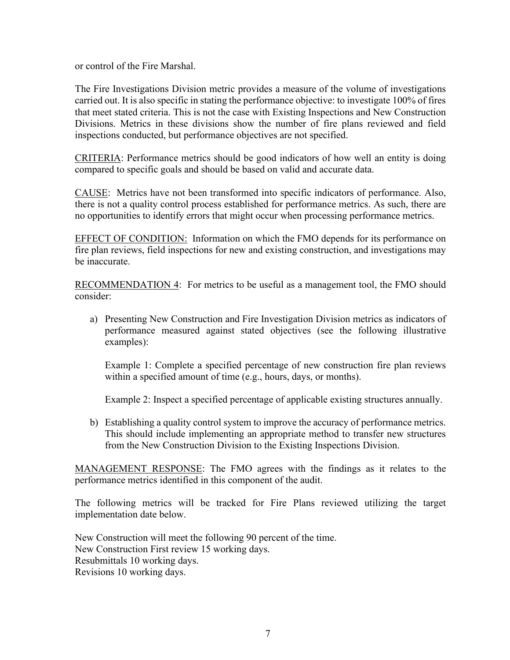or control of the Fire Marshal.

 Divisions. Metrics in these divisions show the number of fire plans reviewed and field The Fire Investigations Division metric provides a measure of the volume of investigations carried out. It is also specific in stating the performance objective: to investigate 100% of fires that meet stated criteria. This is not the case with Existing Inspections and New Construction inspections conducted, but performance objectives are not specified.

CRITERIA: Performance metrics should be good indicators of how well an entity is doing compared to specific goals and should be based on valid and accurate data.

CAUSE: Metrics have not been transformed into specific indicators of performance. Also, there is not a quality control process established for performance metrics. As such, there are no opportunities to identify errors that might occur when processing performance metrics.

EFFECT OF CONDITION: Information on which the FMO depends for its performance on fire plan reviews, field inspections for new and existing construction, and investigations may be inaccurate.

RECOMMENDATION 4: For metrics to be useful as a management tool, the FMO should consider:

a) Presenting New Construction and Fire Investigation Division metrics as indicators of performance measured against stated objectives (see the following illustrative examples):

Example 1: Complete a specified percentage of new construction fire plan reviews within a specified amount of time (e.g., hours, days, or months).

Example 2: Inspect a specified percentage of applicable existing structures annually.

b) Establishing a quality control system to improve the accuracy of performance metrics. This should include implementing an appropriate method to transfer new structures from the New Construction Division to the Existing Inspections Division.

MANAGEMENT RESPONSE: The FMO agrees with the findings as it relates to the performance metrics identified in this component of the audit.

The following metrics will be tracked for Fire Plans reviewed utilizing the target implementation date below.

New Construction will meet the following 90 percent of the time. New Construction First review 15 working days. Resubmittals 10 working days. Revisions 10 working days.